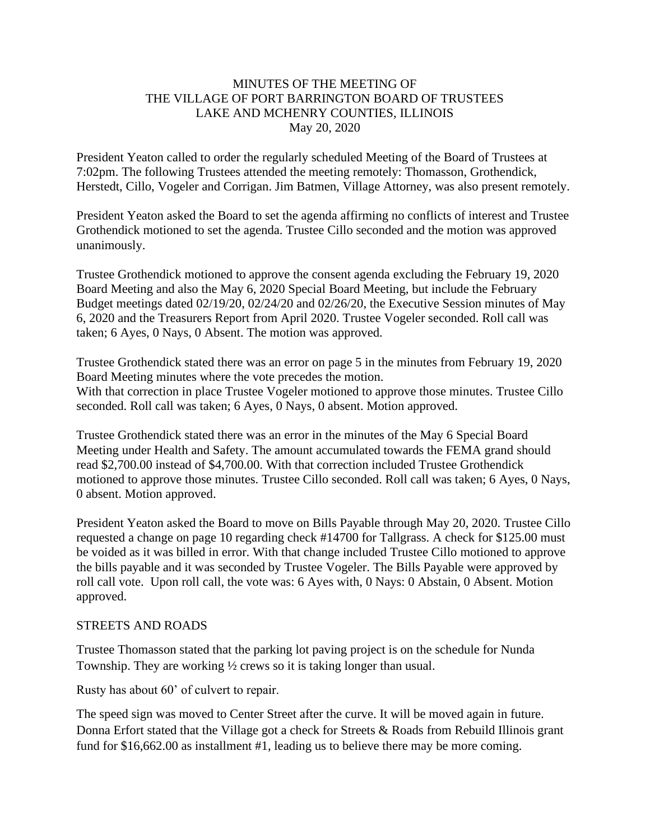#### MINUTES OF THE MEETING OF THE VILLAGE OF PORT BARRINGTON BOARD OF TRUSTEES LAKE AND MCHENRY COUNTIES, ILLINOIS May 20, 2020

President Yeaton called to order the regularly scheduled Meeting of the Board of Trustees at 7:02pm. The following Trustees attended the meeting remotely: Thomasson, Grothendick, Herstedt, Cillo, Vogeler and Corrigan. Jim Batmen, Village Attorney, was also present remotely.

President Yeaton asked the Board to set the agenda affirming no conflicts of interest and Trustee Grothendick motioned to set the agenda. Trustee Cillo seconded and the motion was approved unanimously.

Trustee Grothendick motioned to approve the consent agenda excluding the February 19, 2020 Board Meeting and also the May 6, 2020 Special Board Meeting, but include the February Budget meetings dated 02/19/20, 02/24/20 and 02/26/20, the Executive Session minutes of May 6, 2020 and the Treasurers Report from April 2020. Trustee Vogeler seconded. Roll call was taken; 6 Ayes, 0 Nays, 0 Absent. The motion was approved.

Trustee Grothendick stated there was an error on page 5 in the minutes from February 19, 2020 Board Meeting minutes where the vote precedes the motion. With that correction in place Trustee Vogeler motioned to approve those minutes. Trustee Cillo seconded. Roll call was taken; 6 Ayes, 0 Nays, 0 absent. Motion approved.

Trustee Grothendick stated there was an error in the minutes of the May 6 Special Board Meeting under Health and Safety. The amount accumulated towards the FEMA grand should read \$2,700.00 instead of \$4,700.00. With that correction included Trustee Grothendick motioned to approve those minutes. Trustee Cillo seconded. Roll call was taken; 6 Ayes, 0 Nays, 0 absent. Motion approved.

President Yeaton asked the Board to move on Bills Payable through May 20, 2020. Trustee Cillo requested a change on page 10 regarding check #14700 for Tallgrass. A check for \$125.00 must be voided as it was billed in error. With that change included Trustee Cillo motioned to approve the bills payable and it was seconded by Trustee Vogeler. The Bills Payable were approved by roll call vote. Upon roll call, the vote was: 6 Ayes with, 0 Nays: 0 Abstain, 0 Absent. Motion approved.

#### STREETS AND ROADS

Trustee Thomasson stated that the parking lot paving project is on the schedule for Nunda Township. They are working ½ crews so it is taking longer than usual.

Rusty has about 60' of culvert to repair.

The speed sign was moved to Center Street after the curve. It will be moved again in future. Donna Erfort stated that the Village got a check for Streets & Roads from Rebuild Illinois grant fund for \$16,662.00 as installment #1, leading us to believe there may be more coming.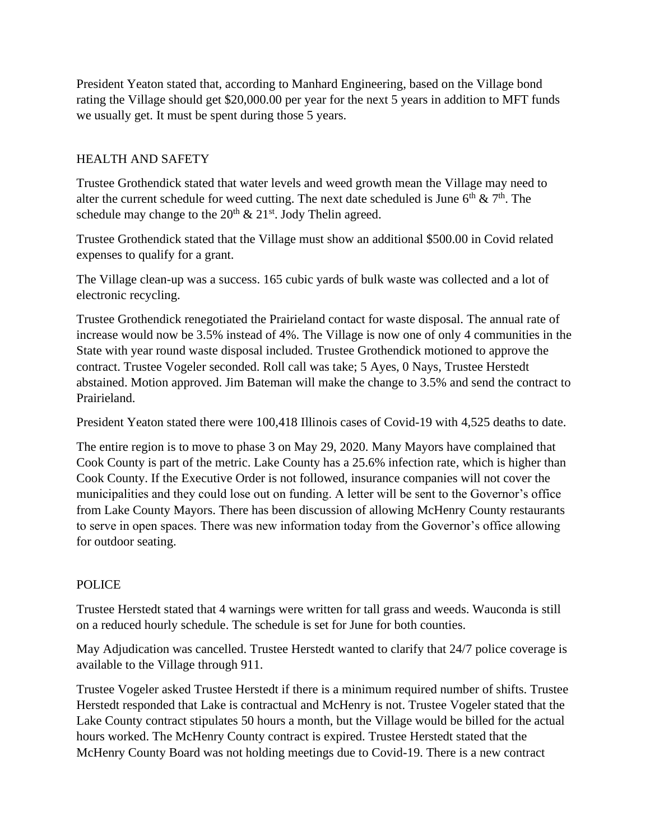President Yeaton stated that, according to Manhard Engineering, based on the Village bond rating the Village should get \$20,000.00 per year for the next 5 years in addition to MFT funds we usually get. It must be spent during those 5 years.

# HEALTH AND SAFETY

Trustee Grothendick stated that water levels and weed growth mean the Village may need to alter the current schedule for weed cutting. The next date scheduled is June  $6<sup>th</sup> \& 7<sup>th</sup>$ . The schedule may change to the  $20^{th} \& 21^{st}$ . Jody Thelin agreed.

Trustee Grothendick stated that the Village must show an additional \$500.00 in Covid related expenses to qualify for a grant.

The Village clean-up was a success. 165 cubic yards of bulk waste was collected and a lot of electronic recycling.

Trustee Grothendick renegotiated the Prairieland contact for waste disposal. The annual rate of increase would now be 3.5% instead of 4%. The Village is now one of only 4 communities in the State with year round waste disposal included. Trustee Grothendick motioned to approve the contract. Trustee Vogeler seconded. Roll call was take; 5 Ayes, 0 Nays, Trustee Herstedt abstained. Motion approved. Jim Bateman will make the change to 3.5% and send the contract to Prairieland.

President Yeaton stated there were 100,418 Illinois cases of Covid-19 with 4,525 deaths to date.

The entire region is to move to phase 3 on May 29, 2020. Many Mayors have complained that Cook County is part of the metric. Lake County has a 25.6% infection rate, which is higher than Cook County. If the Executive Order is not followed, insurance companies will not cover the municipalities and they could lose out on funding. A letter will be sent to the Governor's office from Lake County Mayors. There has been discussion of allowing McHenry County restaurants to serve in open spaces. There was new information today from the Governor's office allowing for outdoor seating.

# POLICE

Trustee Herstedt stated that 4 warnings were written for tall grass and weeds. Wauconda is still on a reduced hourly schedule. The schedule is set for June for both counties.

May Adjudication was cancelled. Trustee Herstedt wanted to clarify that 24/7 police coverage is available to the Village through 911.

Trustee Vogeler asked Trustee Herstedt if there is a minimum required number of shifts. Trustee Herstedt responded that Lake is contractual and McHenry is not. Trustee Vogeler stated that the Lake County contract stipulates 50 hours a month, but the Village would be billed for the actual hours worked. The McHenry County contract is expired. Trustee Herstedt stated that the McHenry County Board was not holding meetings due to Covid-19. There is a new contract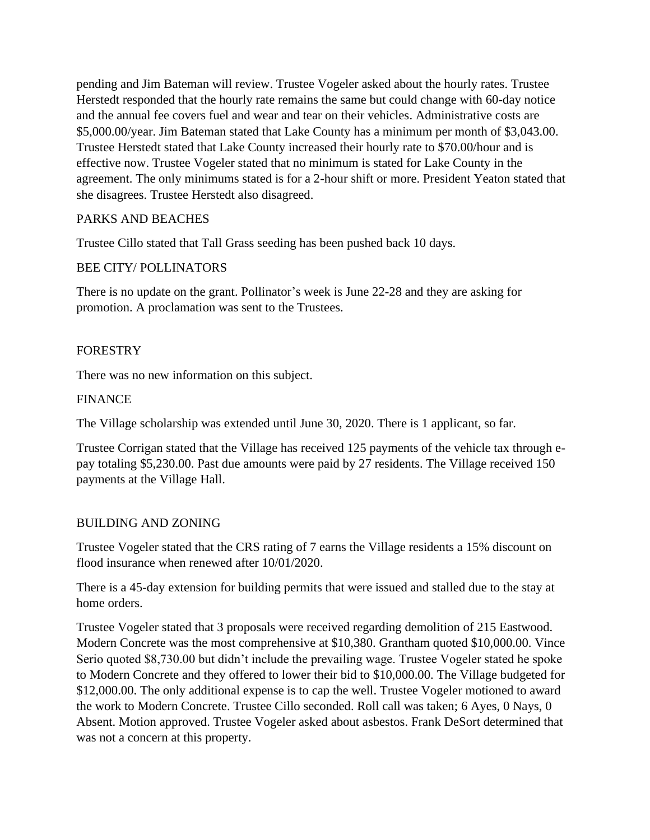pending and Jim Bateman will review. Trustee Vogeler asked about the hourly rates. Trustee Herstedt responded that the hourly rate remains the same but could change with 60-day notice and the annual fee covers fuel and wear and tear on their vehicles. Administrative costs are \$5,000.00/year. Jim Bateman stated that Lake County has a minimum per month of \$3,043.00. Trustee Herstedt stated that Lake County increased their hourly rate to \$70.00/hour and is effective now. Trustee Vogeler stated that no minimum is stated for Lake County in the agreement. The only minimums stated is for a 2-hour shift or more. President Yeaton stated that she disagrees. Trustee Herstedt also disagreed.

# PARKS AND BEACHES

Trustee Cillo stated that Tall Grass seeding has been pushed back 10 days.

# BEE CITY/ POLLINATORS

There is no update on the grant. Pollinator's week is June 22-28 and they are asking for promotion. A proclamation was sent to the Trustees.

# FORESTRY

There was no new information on this subject.

# FINANCE

The Village scholarship was extended until June 30, 2020. There is 1 applicant, so far.

Trustee Corrigan stated that the Village has received 125 payments of the vehicle tax through epay totaling \$5,230.00. Past due amounts were paid by 27 residents. The Village received 150 payments at the Village Hall.

# BUILDING AND ZONING

Trustee Vogeler stated that the CRS rating of 7 earns the Village residents a 15% discount on flood insurance when renewed after 10/01/2020.

There is a 45-day extension for building permits that were issued and stalled due to the stay at home orders.

Trustee Vogeler stated that 3 proposals were received regarding demolition of 215 Eastwood. Modern Concrete was the most comprehensive at \$10,380. Grantham quoted \$10,000.00. Vince Serio quoted \$8,730.00 but didn't include the prevailing wage. Trustee Vogeler stated he spoke to Modern Concrete and they offered to lower their bid to \$10,000.00. The Village budgeted for \$12,000.00. The only additional expense is to cap the well. Trustee Vogeler motioned to award the work to Modern Concrete. Trustee Cillo seconded. Roll call was taken; 6 Ayes, 0 Nays, 0 Absent. Motion approved. Trustee Vogeler asked about asbestos. Frank DeSort determined that was not a concern at this property.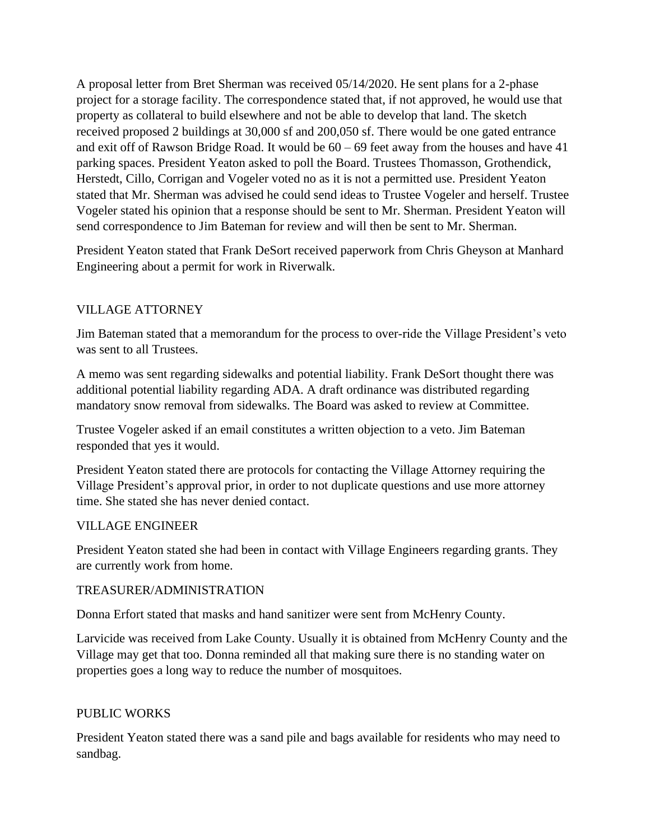A proposal letter from Bret Sherman was received 05/14/2020. He sent plans for a 2-phase project for a storage facility. The correspondence stated that, if not approved, he would use that property as collateral to build elsewhere and not be able to develop that land. The sketch received proposed 2 buildings at 30,000 sf and 200,050 sf. There would be one gated entrance and exit off of Rawson Bridge Road. It would be 60 – 69 feet away from the houses and have 41 parking spaces. President Yeaton asked to poll the Board. Trustees Thomasson, Grothendick, Herstedt, Cillo, Corrigan and Vogeler voted no as it is not a permitted use. President Yeaton stated that Mr. Sherman was advised he could send ideas to Trustee Vogeler and herself. Trustee Vogeler stated his opinion that a response should be sent to Mr. Sherman. President Yeaton will send correspondence to Jim Bateman for review and will then be sent to Mr. Sherman.

President Yeaton stated that Frank DeSort received paperwork from Chris Gheyson at Manhard Engineering about a permit for work in Riverwalk.

# VILLAGE ATTORNEY

Jim Bateman stated that a memorandum for the process to over-ride the Village President's veto was sent to all Trustees.

A memo was sent regarding sidewalks and potential liability. Frank DeSort thought there was additional potential liability regarding ADA. A draft ordinance was distributed regarding mandatory snow removal from sidewalks. The Board was asked to review at Committee.

Trustee Vogeler asked if an email constitutes a written objection to a veto. Jim Bateman responded that yes it would.

President Yeaton stated there are protocols for contacting the Village Attorney requiring the Village President's approval prior, in order to not duplicate questions and use more attorney time. She stated she has never denied contact.

#### VILLAGE ENGINEER

President Yeaton stated she had been in contact with Village Engineers regarding grants. They are currently work from home.

#### TREASURER/ADMINISTRATION

Donna Erfort stated that masks and hand sanitizer were sent from McHenry County.

Larvicide was received from Lake County. Usually it is obtained from McHenry County and the Village may get that too. Donna reminded all that making sure there is no standing water on properties goes a long way to reduce the number of mosquitoes.

#### PUBLIC WORKS

President Yeaton stated there was a sand pile and bags available for residents who may need to sandbag.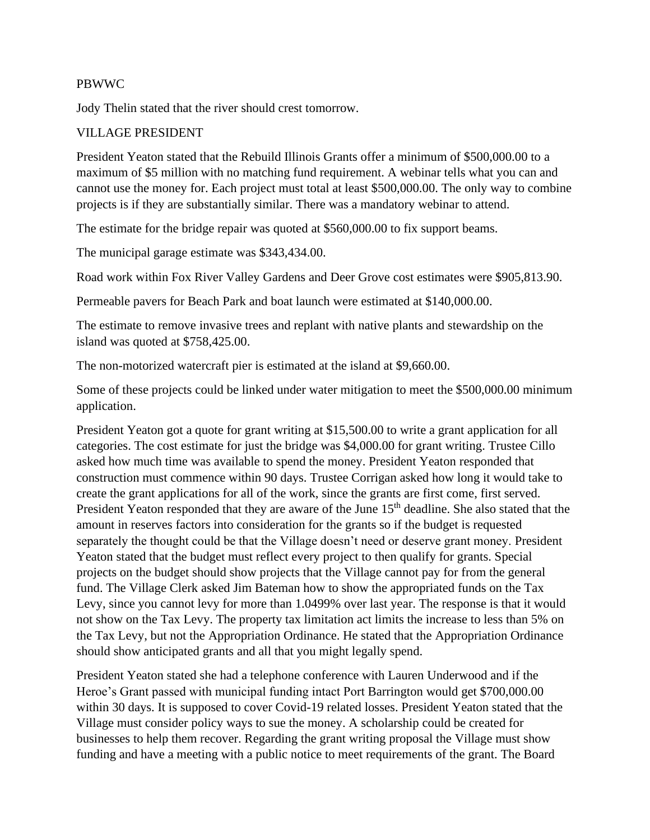#### PBWWC

Jody Thelin stated that the river should crest tomorrow.

#### VILLAGE PRESIDENT

President Yeaton stated that the Rebuild Illinois Grants offer a minimum of \$500,000.00 to a maximum of \$5 million with no matching fund requirement. A webinar tells what you can and cannot use the money for. Each project must total at least \$500,000.00. The only way to combine projects is if they are substantially similar. There was a mandatory webinar to attend.

The estimate for the bridge repair was quoted at \$560,000.00 to fix support beams.

The municipal garage estimate was \$343,434.00.

Road work within Fox River Valley Gardens and Deer Grove cost estimates were \$905,813.90.

Permeable pavers for Beach Park and boat launch were estimated at \$140,000.00.

The estimate to remove invasive trees and replant with native plants and stewardship on the island was quoted at \$758,425.00.

The non-motorized watercraft pier is estimated at the island at \$9,660.00.

Some of these projects could be linked under water mitigation to meet the \$500,000.00 minimum application.

President Yeaton got a quote for grant writing at \$15,500.00 to write a grant application for all categories. The cost estimate for just the bridge was \$4,000.00 for grant writing. Trustee Cillo asked how much time was available to spend the money. President Yeaton responded that construction must commence within 90 days. Trustee Corrigan asked how long it would take to create the grant applications for all of the work, since the grants are first come, first served. President Yeaton responded that they are aware of the June 15<sup>th</sup> deadline. She also stated that the amount in reserves factors into consideration for the grants so if the budget is requested separately the thought could be that the Village doesn't need or deserve grant money. President Yeaton stated that the budget must reflect every project to then qualify for grants. Special projects on the budget should show projects that the Village cannot pay for from the general fund. The Village Clerk asked Jim Bateman how to show the appropriated funds on the Tax Levy, since you cannot levy for more than 1.0499% over last year. The response is that it would not show on the Tax Levy. The property tax limitation act limits the increase to less than 5% on the Tax Levy, but not the Appropriation Ordinance. He stated that the Appropriation Ordinance should show anticipated grants and all that you might legally spend.

President Yeaton stated she had a telephone conference with Lauren Underwood and if the Heroe's Grant passed with municipal funding intact Port Barrington would get \$700,000.00 within 30 days. It is supposed to cover Covid-19 related losses. President Yeaton stated that the Village must consider policy ways to sue the money. A scholarship could be created for businesses to help them recover. Regarding the grant writing proposal the Village must show funding and have a meeting with a public notice to meet requirements of the grant. The Board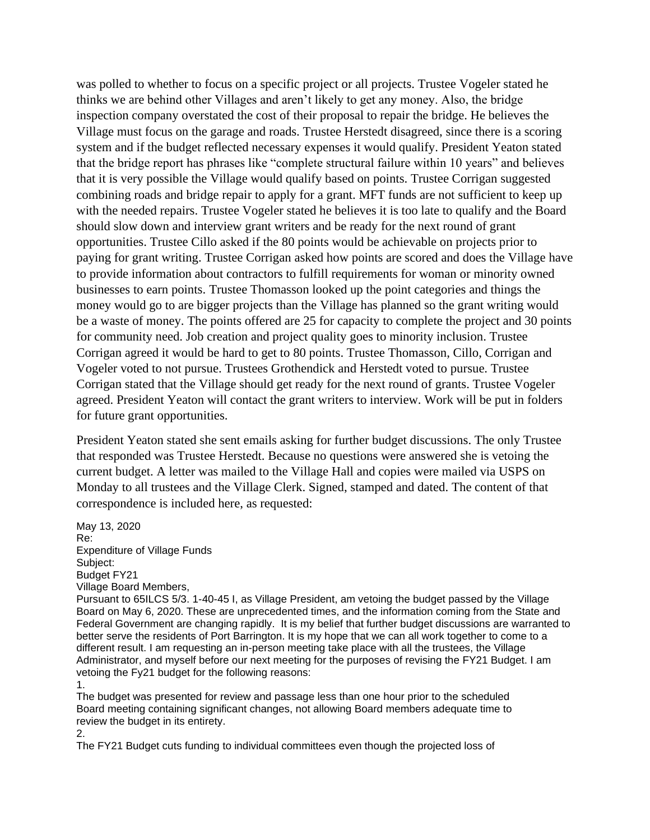was polled to whether to focus on a specific project or all projects. Trustee Vogeler stated he thinks we are behind other Villages and aren't likely to get any money. Also, the bridge inspection company overstated the cost of their proposal to repair the bridge. He believes the Village must focus on the garage and roads. Trustee Herstedt disagreed, since there is a scoring system and if the budget reflected necessary expenses it would qualify. President Yeaton stated that the bridge report has phrases like "complete structural failure within 10 years" and believes that it is very possible the Village would qualify based on points. Trustee Corrigan suggested combining roads and bridge repair to apply for a grant. MFT funds are not sufficient to keep up with the needed repairs. Trustee Vogeler stated he believes it is too late to qualify and the Board should slow down and interview grant writers and be ready for the next round of grant opportunities. Trustee Cillo asked if the 80 points would be achievable on projects prior to paying for grant writing. Trustee Corrigan asked how points are scored and does the Village have to provide information about contractors to fulfill requirements for woman or minority owned businesses to earn points. Trustee Thomasson looked up the point categories and things the money would go to are bigger projects than the Village has planned so the grant writing would be a waste of money. The points offered are 25 for capacity to complete the project and 30 points for community need. Job creation and project quality goes to minority inclusion. Trustee Corrigan agreed it would be hard to get to 80 points. Trustee Thomasson, Cillo, Corrigan and Vogeler voted to not pursue. Trustees Grothendick and Herstedt voted to pursue. Trustee Corrigan stated that the Village should get ready for the next round of grants. Trustee Vogeler agreed. President Yeaton will contact the grant writers to interview. Work will be put in folders for future grant opportunities.

President Yeaton stated she sent emails asking for further budget discussions. The only Trustee that responded was Trustee Herstedt. Because no questions were answered she is vetoing the current budget. A letter was mailed to the Village Hall and copies were mailed via USPS on Monday to all trustees and the Village Clerk. Signed, stamped and dated. The content of that correspondence is included here, as requested:

May 13, 2020 Re: Expenditure of Village Funds Subject: Budget FY21 Village Board Members,

Pursuant to 65ILCS 5/3. 1-40-45 I, as Village President, am vetoing the budget passed by the Village Board on May 6, 2020. These are unprecedented times, and the information coming from the State and Federal Government are changing rapidly. It is my belief that further budget discussions are warranted to better serve the residents of Port Barrington. It is my hope that we can all work together to come to a different result. I am requesting an in-person meeting take place with all the trustees, the Village Administrator, and myself before our next meeting for the purposes of revising the FY21 Budget. I am vetoing the Fy21 budget for the following reasons:

1.

The budget was presented for review and passage less than one hour prior to the scheduled Board meeting containing significant changes, not allowing Board members adequate time to review the budget in its entirety.

2.

The FY21 Budget cuts funding to individual committees even though the projected loss of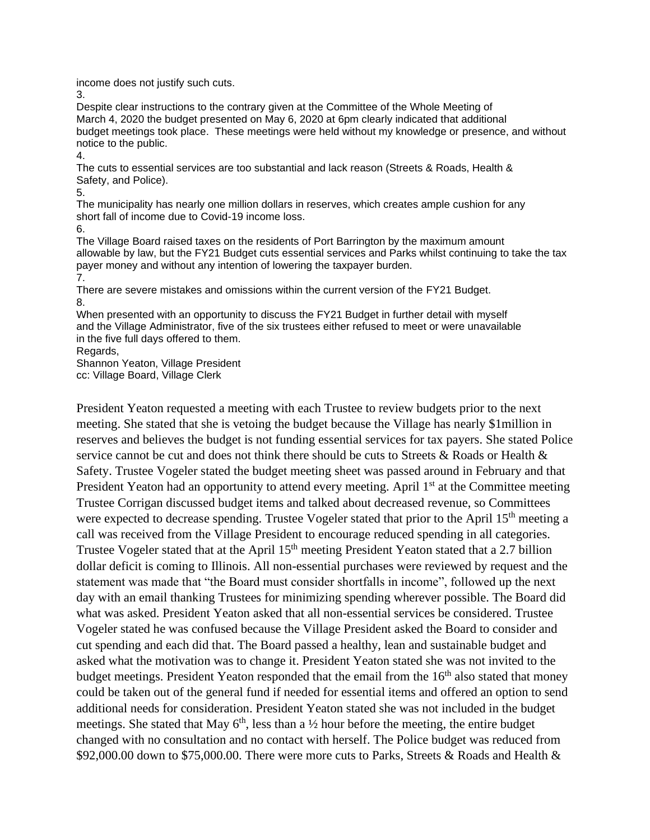income does not justify such cuts.

3.

Despite clear instructions to the contrary given at the Committee of the Whole Meeting of March 4, 2020 the budget presented on May 6, 2020 at 6pm clearly indicated that additional budget meetings took place. These meetings were held without my knowledge or presence, and without notice to the public.

4.

The cuts to essential services are too substantial and lack reason (Streets & Roads, Health & Safety, and Police).

5.

The municipality has nearly one million dollars in reserves, which creates ample cushion for any short fall of income due to Covid-19 income loss.

6.

The Village Board raised taxes on the residents of Port Barrington by the maximum amount allowable by law, but the FY21 Budget cuts essential services and Parks whilst continuing to take the tax payer money and without any intention of lowering the taxpayer burden. 7.

There are severe mistakes and omissions within the current version of the FY21 Budget. 8.

When presented with an opportunity to discuss the FY21 Budget in further detail with myself and the Village Administrator, five of the six trustees either refused to meet or were unavailable in the five full days offered to them.

Regards,

Shannon Yeaton, Village President

cc: Village Board, Village Clerk

President Yeaton requested a meeting with each Trustee to review budgets prior to the next meeting. She stated that she is vetoing the budget because the Village has nearly \$1million in reserves and believes the budget is not funding essential services for tax payers. She stated Police service cannot be cut and does not think there should be cuts to Streets & Roads or Health & Safety. Trustee Vogeler stated the budget meeting sheet was passed around in February and that President Yeaton had an opportunity to attend every meeting. April 1<sup>st</sup> at the Committee meeting Trustee Corrigan discussed budget items and talked about decreased revenue, so Committees were expected to decrease spending. Trustee Vogeler stated that prior to the April 15<sup>th</sup> meeting a call was received from the Village President to encourage reduced spending in all categories. Trustee Vogeler stated that at the April 15<sup>th</sup> meeting President Yeaton stated that a 2.7 billion dollar deficit is coming to Illinois. All non-essential purchases were reviewed by request and the statement was made that "the Board must consider shortfalls in income", followed up the next day with an email thanking Trustees for minimizing spending wherever possible. The Board did what was asked. President Yeaton asked that all non-essential services be considered. Trustee Vogeler stated he was confused because the Village President asked the Board to consider and cut spending and each did that. The Board passed a healthy, lean and sustainable budget and asked what the motivation was to change it. President Yeaton stated she was not invited to the budget meetings. President Yeaton responded that the email from the  $16<sup>th</sup>$  also stated that money could be taken out of the general fund if needed for essential items and offered an option to send additional needs for consideration. President Yeaton stated she was not included in the budget meetings. She stated that May  $6<sup>th</sup>$ , less than a  $\frac{1}{2}$  hour before the meeting, the entire budget changed with no consultation and no contact with herself. The Police budget was reduced from \$92,000.00 down to \$75,000.00. There were more cuts to Parks, Streets & Roads and Health &